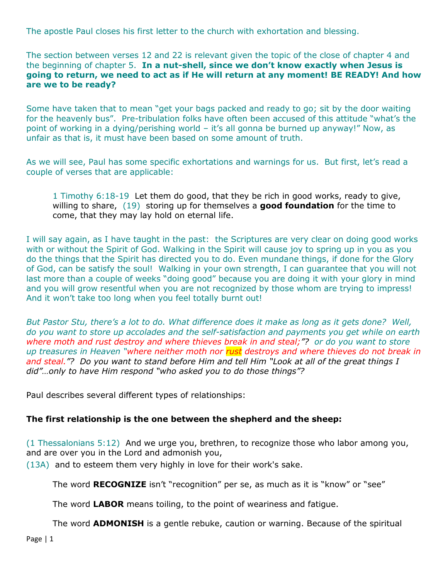The apostle Paul closes his first letter to the church with exhortation and blessing.

The section between verses 12 and 22 is relevant given the topic of the close of chapter 4 and the beginning of chapter 5. **In a nut-shell, since we don't know exactly when Jesus is going to return, we need to act as if He will return at any moment! BE READY! And how are we to be ready?**

Some have taken that to mean "get your bags packed and ready to go; sit by the door waiting for the heavenly bus". Pre-tribulation folks have often been accused of this attitude "what's the point of working in a dying/perishing world – it's all gonna be burned up anyway!" Now, as unfair as that is, it must have been based on some amount of truth.

As we will see, Paul has some specific exhortations and warnings for us. But first, let's read a couple of verses that are applicable:

1 Timothy 6:18-19 Let them do good, that they be rich in good works, ready to give, willing to share, (19) storing up for themselves a **good foundation** for the time to come, that they may lay hold on eternal life.

I will say again, as I have taught in the past: the Scriptures are very clear on doing good works with or without the Spirit of God. Walking in the Spirit will cause joy to spring up in you as you do the things that the Spirit has directed you to do. Even mundane things, if done for the Glory of God, can be satisfy the soul! Walking in your own strength, I can guarantee that you will not last more than a couple of weeks "doing good" because you are doing it with your glory in mind and you will grow resentful when you are not recognized by those whom are trying to impress! And it won't take too long when you feel totally burnt out!

*But Pastor Stu, there's a lot to do. What difference does it make as long as it gets done? Well, do you want to store up accolades and the self-satisfaction and payments you get while on earth where moth and rust destroy and where thieves break in and steal;"? or do you want to store up treasures in Heaven "where neither moth nor rust destroys and where thieves do not break in and steal."? Do you want to stand before Him and tell Him "Look at all of the great things I did"…only to have Him respond "who asked you to do those things"?*

Paul describes several different types of relationships:

#### **The first relationship is the one between the shepherd and the sheep:**

(1 Thessalonians 5:12) And we urge you, brethren, to recognize those who labor among you, and are over you in the Lord and admonish you,

(13A) and to esteem them very highly in love for their work's sake.

The word **RECOGNIZE** isn't "recognition" per se, as much as it is "know" or "see"

The word **LABOR** means toiling, to the point of weariness and fatigue.

The word **ADMONISH** is a gentle rebuke, caution or warning. Because of the spiritual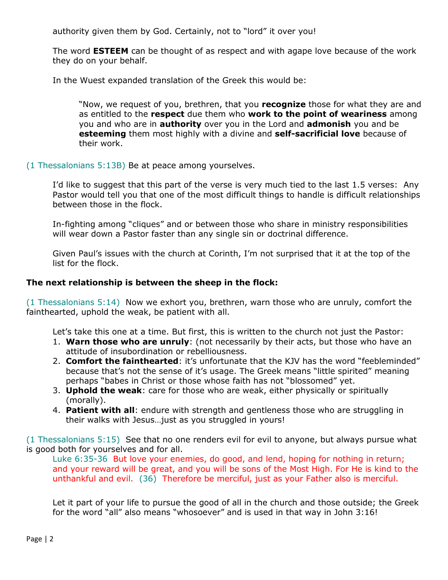authority given them by God. Certainly, not to "lord" it over you!

The word **ESTEEM** can be thought of as respect and with agape love because of the work they do on your behalf.

In the Wuest expanded translation of the Greek this would be:

"Now, we request of you, brethren, that you **recognize** those for what they are and as entitled to the **respect** due them who **work to the point of weariness** among you and who are in **authority** over you in the Lord and **admonish** you and be **esteeming** them most highly with a divine and **self-sacrificial love** because of their work.

(1 Thessalonians 5:13B) Be at peace among yourselves.

I'd like to suggest that this part of the verse is very much tied to the last 1.5 verses: Any Pastor would tell you that one of the most difficult things to handle is difficult relationships between those in the flock.

In-fighting among "cliques" and or between those who share in ministry responsibilities will wear down a Pastor faster than any single sin or doctrinal difference.

Given Paul's issues with the church at Corinth, I'm not surprised that it at the top of the list for the flock.

### **The next relationship is between the sheep in the flock:**

(1 Thessalonians 5:14) Now we exhort you, brethren, warn those who are unruly, comfort the fainthearted, uphold the weak, be patient with all.

Let's take this one at a time. But first, this is written to the church not just the Pastor:

- 1. **Warn those who are unruly**: (not necessarily by their acts, but those who have an attitude of insubordination or rebelliousness.
- 2. **Comfort the fainthearted**: it's unfortunate that the KJV has the word "feebleminded" because that's not the sense of it's usage. The Greek means "little spirited" meaning perhaps "babes in Christ or those whose faith has not "blossomed" yet.
- 3. **Uphold the weak**: care for those who are weak, either physically or spiritually (morally).
- 4. **Patient with all**: endure with strength and gentleness those who are struggling in their walks with Jesus…just as you struggled in yours!

(1 Thessalonians 5:15) See that no one renders evil for evil to anyone, but always pursue what is good both for yourselves and for all.

Luke 6:35-36 But love your enemies, do good, and lend, hoping for nothing in return; and your reward will be great, and you will be sons of the Most High. For He is kind to the unthankful and evil. (36) Therefore be merciful, just as your Father also is merciful.

Let it part of your life to pursue the good of all in the church and those outside; the Greek for the word "all" also means "whosoever" and is used in that way in John 3:16!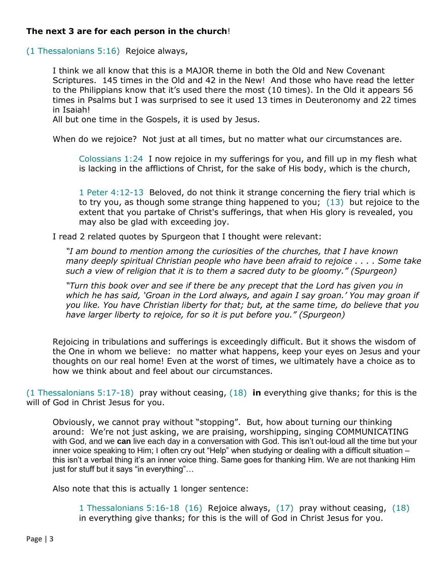# **The next 3 are for each person in the church**!

(1 Thessalonians 5:16) Rejoice always,

I think we all know that this is a MAJOR theme in both the Old and New Covenant Scriptures. 145 times in the Old and 42 in the New! And those who have read the letter to the Philippians know that it's used there the most (10 times). In the Old it appears 56 times in Psalms but I was surprised to see it used 13 times in Deuteronomy and 22 times in Isaiah!

All but one time in the Gospels, it is used by Jesus.

When do we rejoice? Not just at all times, but no matter what our circumstances are.

Colossians 1:24 I now rejoice in my sufferings for you, and fill up in my flesh what is lacking in the afflictions of Christ, for the sake of His body, which is the church,

1 Peter 4:12-13 Beloved, do not think it strange concerning the fiery trial which is to try you, as though some strange thing happened to you; (13) but rejoice to the extent that you partake of Christ's sufferings, that when His glory is revealed, you may also be glad with exceeding joy.

I read 2 related quotes by Spurgeon that I thought were relevant:

*"I am bound to mention among the curiosities of the churches, that I have known many deeply spiritual Christian people who have been afraid to rejoice . . . . Some take such a view of religion that it is to them a sacred duty to be gloomy." (Spurgeon)*

*"Turn this book over and see if there be any precept that the Lord has given you in which he has said, 'Groan in the Lord always, and again I say groan.' You may groan if you like. You have Christian liberty for that; but, at the same time, do believe that you have larger liberty to rejoice, for so it is put before you." (Spurgeon)*

Rejoicing in tribulations and sufferings is exceedingly difficult. But it shows the wisdom of the One in whom we believe: no matter what happens, keep your eyes on Jesus and your thoughts on our real home! Even at the worst of times, we ultimately have a choice as to how we think about and feel about our circumstances.

(1 Thessalonians 5:17-18) pray without ceasing, (18) **in** everything give thanks; for this is the will of God in Christ Jesus for you.

Obviously, we cannot pray without "stopping". But, how about turning our thinking around: We're not just asking, we are praising, worshipping, singing COMMUNICATING with God, and we **can** live each day in a conversation with God. This isn't out-loud all the time but your inner voice speaking to Him; I often cry out "Help" when studying or dealing with a difficult situation – this isn't a verbal thing it's an inner voice thing. Same goes for thanking Him. We are not thanking Him just for stuff but it says "in everything"…

Also note that this is actually 1 longer sentence:

1 Thessalonians 5:16-18 (16) Rejoice always, (17) pray without ceasing, (18) in everything give thanks; for this is the will of God in Christ Jesus for you.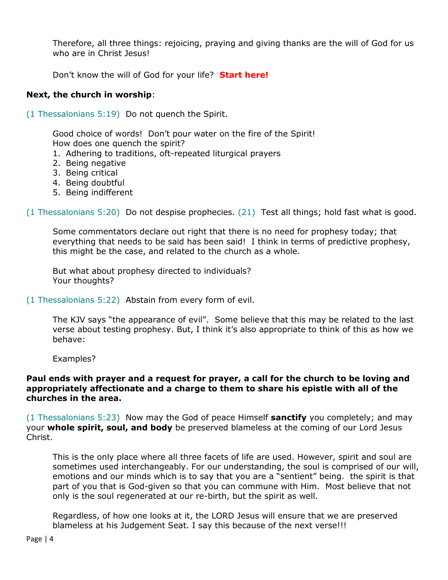Therefore, all three things: rejoicing, praying and giving thanks are the will of God for us who are in Christ Jesus!

Don't know the will of God for your life? **Start here!**

# **Next, the church in worship**:

(1 Thessalonians 5:19) Do not quench the Spirit.

Good choice of words! Don't pour water on the fire of the Spirit! How does one quench the spirit?

- 1. Adhering to traditions, oft-repeated liturgical prayers
- 2. Being negative
- 3. Being critical
- 4. Being doubtful
- 5. Being indifferent

(1 Thessalonians 5:20) Do not despise prophecies. (21) Test all things; hold fast what is good.

Some commentators declare out right that there is no need for prophesy today; that everything that needs to be said has been said! I think in terms of predictive prophesy, this might be the case, and related to the church as a whole.

But what about prophesy directed to individuals? Your thoughts?

(1 Thessalonians 5:22) Abstain from every form of evil.

The KJV says "the appearance of evil". Some believe that this may be related to the last verse about testing prophesy. But, I think it's also appropriate to think of this as how we behave:

Examples?

### **Paul ends with prayer and a request for prayer, a call for the church to be loving and appropriately affectionate and a charge to them to share his epistle with all of the churches in the area.**

(1 Thessalonians 5:23) Now may the God of peace Himself **sanctify** you completely; and may your **whole spirit, soul, and body** be preserved blameless at the coming of our Lord Jesus Christ.

This is the only place where all three facets of life are used. However, spirit and soul are sometimes used interchangeably. For our understanding, the soul is comprised of our will, emotions and our minds which is to say that you are a "sentient" being. the spirit is that part of you that is God-given so that you can commune with Him. Most believe that not only is the soul regenerated at our re-birth, but the spirit as well.

Regardless, of how one looks at it, the LORD Jesus will ensure that we are preserved blameless at his Judgement Seat. I say this because of the next verse!!!